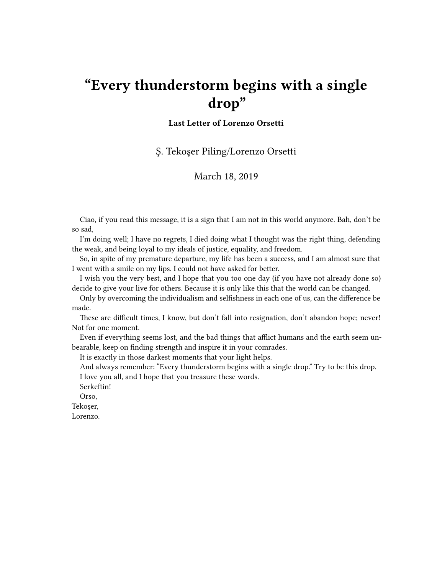## **"Every thunderstorm begins with a single drop"**

## **Last Letter of Lorenzo Orsetti**

Ş. Tekoşer Piling/Lorenzo Orsetti

## March 18, 2019

Ciao, if you read this message, it is a sign that I am not in this world anymore. Bah, don't be so sad,

I'm doing well; I have no regrets, I died doing what I thought was the right thing, defending the weak, and being loyal to my ideals of justice, equality, and freedom.

So, in spite of my premature departure, my life has been a success, and I am almost sure that I went with a smile on my lips. I could not have asked for better.

I wish you the very best, and I hope that you too one day (if you have not already done so) decide to give your live for others. Because it is only like this that the world can be changed.

Only by overcoming the individualism and selfishness in each one of us, can the difference be made.

These are difficult times, I know, but don't fall into resignation, don't abandon hope; never! Not for one moment.

Even if everything seems lost, and the bad things that afflict humans and the earth seem unbearable, keep on finding strength and inspire it in your comrades.

It is exactly in those darkest moments that your light helps.

And always remember: "Every thunderstorm begins with a single drop." Try to be this drop.

I love you all, and I hope that you treasure these words.

Serkeftin!

Orso,

Tekoşer,

Lorenzo.